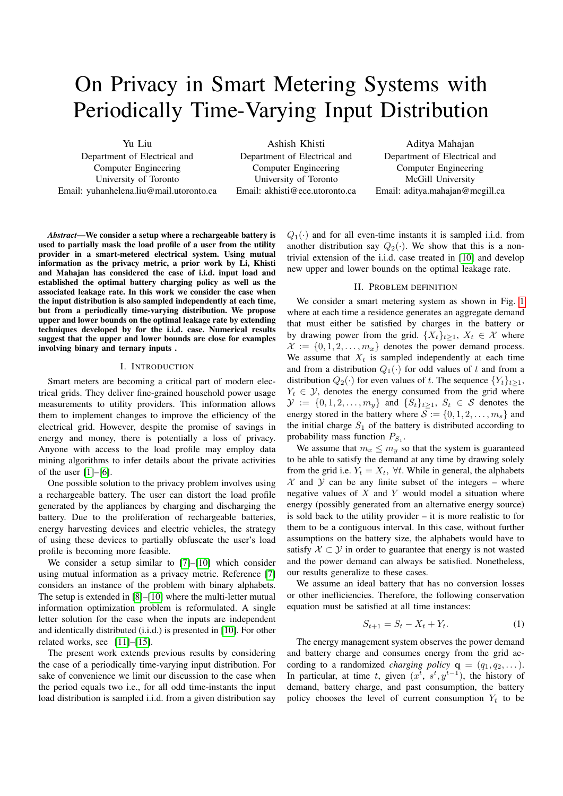# On Privacy in Smart Metering Systems with Periodically Time-Varying Input Distribution

Yu Liu

Department of Electrical and Computer Engineering University of Toronto Email: yuhanhelena.liu@mail.utoronto.ca

Ashish Khisti Department of Electrical and Computer Engineering University of Toronto Email: akhisti@ece.utoronto.ca

Aditya Mahajan Department of Electrical and Computer Engineering McGill University Email: aditya.mahajan@mcgill.ca

*Abstract*—We consider a setup where a rechargeable battery is used to partially mask the load profile of a user from the utility provider in a smart-metered electrical system. Using mutual information as the privacy metric, a prior work by Li, Khisti and Mahajan has considered the case of i.i.d. input load and established the optimal battery charging policy as well as the associated leakage rate. In this work we consider the case when the input distribution is also sampled independently at each time, but from a periodically time-varying distribution. We propose upper and lower bounds on the optimal leakage rate by extending techniques developed by for the i.i.d. case. Numerical results suggest that the upper and lower bounds are close for examples involving binary and ternary inputs .

## I. INTRODUCTION

Smart meters are becoming a critical part of modern electrical grids. They deliver fine-grained household power usage measurements to utility providers. This information allows them to implement changes to improve the efficiency of the electrical grid. However, despite the promise of savings in energy and money, there is potentially a loss of privacy. Anyone with access to the load profile may employ data mining algorithms to infer details about the private activities of the user [\[1\]](#page-4-0)–[\[6\]](#page-4-1).

One possible solution to the privacy problem involves using a rechargeable battery. The user can distort the load profile generated by the appliances by charging and discharging the battery. Due to the proliferation of rechargeable batteries, energy harvesting devices and electric vehicles, the strategy of using these devices to partially obfuscate the user's load profile is becoming more feasible.

We consider a setup similar to [\[7\]](#page-4-2)–[\[10\]](#page-4-3) which consider using mutual information as a privacy metric. Reference [\[7\]](#page-4-2) considers an instance of the problem with binary alphabets. The setup is extended in [\[8\]](#page-4-4)–[\[10\]](#page-4-3) where the multi-letter mutual information optimization problem is reformulated. A single letter solution for the case when the inputs are independent and identically distributed (i.i.d.) is presented in [\[10\]](#page-4-3). For other related works, see [\[11\]](#page-4-5)–[\[15\]](#page-4-6).

The present work extends previous results by considering the case of a periodically time-varying input distribution. For sake of convenience we limit our discussion to the case when the period equals two i.e., for all odd time-instants the input load distribution is sampled i.i.d. from a given distribution say

 $Q_1(\cdot)$  and for all even-time instants it is sampled i.i.d. from another distribution say  $Q_2(\cdot)$ . We show that this is a nontrivial extension of the i.i.d. case treated in [\[10\]](#page-4-3) and develop new upper and lower bounds on the optimal leakage rate.

#### II. PROBLEM DEFINITION

We consider a smart metering system as shown in Fig. [1](#page-1-0) where at each time a residence generates an aggregate demand that must either be satisfied by charges in the battery or by drawing power from the grid.  $\{X_t\}_{t\geq 1}$ ,  $X_t \in \mathcal{X}$  where  $\mathcal{X} := \{0, 1, 2, \ldots, m_x\}$  denotes the power demand process. We assume that  $X_t$  is sampled independently at each time and from a distribution  $Q_1(\cdot)$  for odd values of t and from a distribution  $Q_2(\cdot)$  for even values of t. The sequence  $\{Y_t\}_{t>1}$ ,  $Y_t \in \mathcal{Y}$ , denotes the energy consumed from the grid where  $\mathcal{Y} := \{0, 1, 2, \dots, m_y\}$  and  $\{S_t\}_{t \geq 1}$ ,  $S_t \in \mathcal{S}$  denotes the energy stored in the battery where  $S := \{0, 1, 2, \dots, m_s\}$  and the initial charge  $S_1$  of the battery is distributed according to probability mass function  $P_{S_1}$ .

We assume that  $m_x \leq m_y$  so that the system is guaranteed to be able to satisfy the demand at any time by drawing solely from the grid i.e.  $Y_t = X_t$ ,  $\forall t$ . While in general, the alphabets  $X$  and  $Y$  can be any finite subset of the integers – where negative values of  $X$  and  $Y$  would model a situation where energy (possibly generated from an alternative energy source) is sold back to the utility provider – it is more realistic to for them to be a contiguous interval. In this case, without further assumptions on the battery size, the alphabets would have to satisfy  $X \subset Y$  in order to guarantee that energy is not wasted and the power demand can always be satisfied. Nonetheless, our results generalize to these cases.

We assume an ideal battery that has no conversion losses or other inefficiencies. Therefore, the following conservation equation must be satisfied at all time instances:

<span id="page-0-0"></span>
$$
S_{t+1} = S_t - X_t + Y_t.
$$
 (1)

The energy management system observes the power demand and battery charge and consumes energy from the grid according to a randomized *charging policy*  $\mathbf{q} = (q_1, q_2, \dots)$ . In particular, at time t, given  $(x^t, s^t, y^{t-1})$ , the history of demand, battery charge, and past consumption, the battery policy chooses the level of current consumption  $Y_t$  to be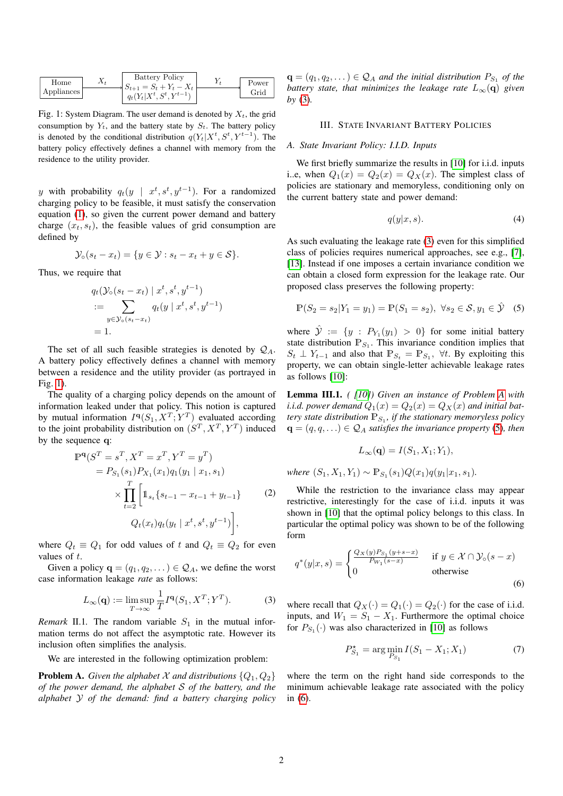<span id="page-1-0"></span>

| Home         | $X_t$                       | Battery Policy | $Y_t$                                 | $Y_t$ |
|--------------|-----------------------------|----------------|---------------------------------------|-------|
| Applications | $S_{t+1} = S_t + Y_t - X_t$ | $Y_t$          | Power<br>$q_t(Y_t X^t, S^t, Y^{t-1})$ | Grid  |

Fig. 1: System Diagram. The user demand is denoted by  $X_t$ , the grid consumption by  $Y_t$ , and the battery state by  $S_t$ . The battery policy is denoted by the conditional distribution  $q(Y_t|X^t, S^t, Y^{t-1})$ . The battery policy effectively defines a channel with memory from the residence to the utility provider.

y with probability  $q_t(y \mid x^t, s^t, y^{t-1})$ . For a randomized charging policy to be feasible, it must satisfy the conservation equation [\(1\)](#page-0-0), so given the current power demand and battery charge  $(x_t, s_t)$ , the feasible values of grid consumption are defined by

$$
\mathcal{Y}_{\circ}(s_t - x_t) = \{ y \in \mathcal{Y} : s_t - x_t + y \in \mathcal{S} \}.
$$

Thus, we require that

$$
q_t(\mathcal{Y}_0(s_t - x_t) \mid x^t, s^t, y^{t-1})
$$
  
= 
$$
\sum_{y \in \mathcal{Y}_0(s_t - x_t)} q_t(y \mid x^t, s^t, y^{t-1})
$$
  
= 1.

The set of all such feasible strategies is denoted by  $Q_A$ . A battery policy effectively defines a channel with memory between a residence and the utility provider (as portrayed in Fig. [1\)](#page-1-0).

The quality of a charging policy depends on the amount of information leaked under that policy. This notion is captured by mutual information  $I^{\mathbf{q}}(S_1, X^T; Y^T)$  evaluated according to the joint probability distribution on  $(S^T, X^T, Y^T)$  induced by the sequence q:

$$
\mathbb{P}^{\mathbf{q}}(S^T = s^T, X^T = x^T, Y^T = y^T)
$$
  
=  $P_{S_1}(s_1)P_{X_1}(x_1)q_1(y_1 | x_1, s_1)$   

$$
\times \prod_{t=2}^T \left[ 1_{s_t} \{s_{t-1} - x_{t-1} + y_{t-1}\} \right]
$$
 (2)  
 $Q_t(x_t)q_t(y_t | x^t, s^t, y^{t-1})$ ,

where  $Q_t \equiv Q_1$  for odd values of t and  $Q_t \equiv Q_2$  for even values of t.

Given a policy  $\mathbf{q} = (q_1, q_2, \dots) \in \mathcal{Q}_A$ , we define the worst case information leakage *rate* as follows:

$$
L_{\infty}(\mathbf{q}) := \limsup_{T \to \infty} \frac{1}{T} I^{\mathbf{q}}(S_1, X^T; Y^T).
$$
 (3)

*Remark* II.1. The random variable  $S_1$  in the mutual information terms do not affect the asymptotic rate. However its inclusion often simplifies the analysis.

We are interested in the following optimization problem:

<span id="page-1-2"></span>**Problem A.** *Given the alphabet*  $\mathcal X$  *and distributions*  $\{Q_1, Q_2\}$ *of the power demand, the alphabet* S *of the battery, and the alphabet* Y *of the demand: find a battery charging policy*

 $\mathbf{q} = (q_1, q_2, \dots) \in \mathcal{Q}_A$  and the initial distribution  $P_{S_1}$  of the *battery state, that minimizes the leakage rate*  $L_{\infty}(\mathbf{q})$  *given by* [\(3\)](#page-1-1)*.*

#### III. STATE INVARIANT BATTERY POLICIES

#### *A. State Invariant Policy: I.I.D. Inputs*

We first briefly summarize the results in [\[10\]](#page-4-3) for i.i.d. inputs i..e, when  $Q_1(x) = Q_2(x) = Q_x(x)$ . The simplest class of policies are stationary and memoryless, conditioning only on the current battery state and power demand:

<span id="page-1-3"></span>
$$
q(y|x,s). \tag{4}
$$

As such evaluating the leakage rate [\(3\)](#page-1-1) even for this simplified class of policies requires numerical approaches, see e.g., [\[7\]](#page-4-2), [\[13\]](#page-4-7). Instead if one imposes a certain invariance condition we can obtain a closed form expression for the leakage rate. Our proposed class preserves the following property:

$$
\mathbb{P}(S_2 = s_2 | Y_1 = y_1) = \mathbb{P}(S_1 = s_2), \ \forall s_2 \in \mathcal{S}, y_1 \in \hat{\mathcal{Y}} \quad (5)
$$

where  $\hat{y} := \{y : P_{Y_1}(y_1) > 0\}$  for some initial battery state distribution  $P_{S_1}$ . This invariance condition implies that  $S_t \perp Y_{t-1}$  and also that  $\mathbb{P}_{S_t} = \mathbb{P}_{S_1}$ ,  $\forall t$ . By exploiting this property, we can obtain single-letter achievable leakage rates as follows [\[10\]](#page-4-3):

Lemma III.1. *( [\[10\]](#page-4-3)) Given an instance of Problem [A](#page-1-2) with i.i.d. power demand*  $Q_1(x) = Q_2(x) = Q_X(x)$  *and initial battery state distribution*  $\mathbb{P}_{S_1}$ , *if the stationary memoryless policy*  $\mathbf{q} = (q, q, \ldots) \in \mathcal{Q}_A$  *satisfies the invariance property* [\(5\)](#page-1-3)*, then* 

$$
L_{\infty}(\mathbf{q})=I(S_1,X_1;Y_1),
$$

*where*  $(S_1, X_1, Y_1) \sim \mathbb{P}_{S_1}(s_1)Q(x_1)q(y_1|x_1, s_1)$ *.* 

While the restriction to the invariance class may appear restrictive, interestingly for the case of i.i.d. inputs it was shown in [\[10\]](#page-4-3) that the optimal policy belongs to this class. In particular the optimal policy was shown to be of the following form

$$
q^*(y|x,s) = \begin{cases} \frac{Q_X(y)P_{S_1}(y+s-x)}{P_{W_1}(s-x)} & \text{if } y \in \mathcal{X} \cap \mathcal{Y}_0(s-x) \\ 0 & \text{otherwise} \end{cases}
$$
(6)

<span id="page-1-1"></span>where recall that  $Q_X(\cdot) = Q_1(\cdot) = Q_2(\cdot)$  for the case of i.i.d. inputs, and  $W_1 = S_1 - X_1$ . Furthermore the optimal choice for  $P_{S_1}(\cdot)$  was also characterized in [\[10\]](#page-4-3) as follows

<span id="page-1-4"></span>
$$
P_{S_1}^* = \arg\min_{P_{S_1}} I(S_1 - X_1; X_1)
$$
 (7)

where the term on the right hand side corresponds to the minimum achievable leakage rate associated with the policy in [\(6\)](#page-1-4).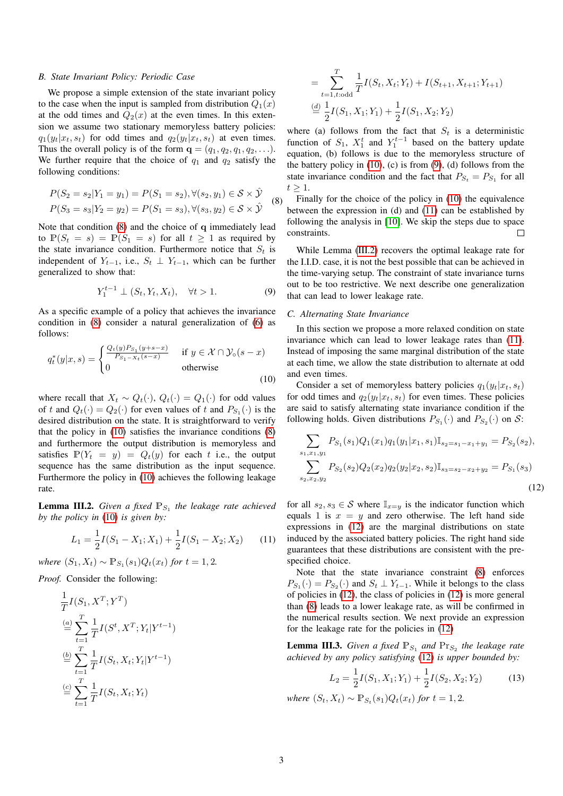#### <span id="page-2-7"></span>*B. State Invariant Policy: Periodic Case*

We propose a simple extension of the state invariant policy to the case when the input is sampled from distribution  $Q_1(x)$ at the odd times and  $Q_2(x)$  at the even times. In this extension we assume two stationary memoryless battery policies:  $q_1(y_t|x_t, s_t)$  for odd times and  $q_2(y_t|x_t, s_t)$  at even times. Thus the overall policy is of the form  $\mathbf{q} = (q_1, q_2, q_1, q_2, \ldots)$ . We further require that the choice of  $q_1$  and  $q_2$  satisfy the following conditions:

$$
P(S_2 = s_2 | Y_1 = y_1) = P(S_1 = s_2), \forall (s_2, y_1) \in S \times \hat{\mathcal{Y}}
$$
  
\n
$$
P(S_3 = s_3 | Y_2 = y_2) = P(S_1 = s_3), \forall (s_3, y_2) \in S \times \hat{\mathcal{Y}}
$$
 (8)

Note that condition [\(8\)](#page-2-0) and the choice of q immediately lead to  $\mathbb{P}(S_t = s) = \mathbb{P}(S_1 = s)$  for all  $t \geq 1$  as required by the state invariance condition. Furthermore notice that  $S_t$  is independent of  $Y_{t-1}$ , i.e.,  $S_t \perp Y_{t-1}$ , which can be further generalized to show that:

<span id="page-2-2"></span>
$$
Y_1^{t-1} \perp (S_t, Y_t, X_t), \quad \forall t > 1.
$$

As a specific example of a policy that achieves the invariance condition in [\(8\)](#page-2-0) consider a natural generalization of [\(6\)](#page-1-4) as follows:

$$
q_t^*(y|x,s) = \begin{cases} \frac{Q_t(y)P_{S_1}(y+s-x)}{P_{S_1-X_t}(s-x)} & \text{if } y \in \mathcal{X} \cap \mathcal{Y}_0(s-x) \\ 0 & \text{otherwise} \end{cases}
$$
(10)

where recall that  $X_t \sim Q_t(\cdot)$ ,  $Q_t(\cdot) = Q_1(\cdot)$  for odd values of t and  $Q_t(\cdot) = Q_2(\cdot)$  for even values of t and  $P_{S_1}(\cdot)$  is the desired distribution on the state. It is straightforward to verify that the policy in [\(10\)](#page-2-1) satisfies the invariance conditions [\(8\)](#page-2-0) and furthermore the output distribution is memoryless and satisfies  $\mathbb{P}(Y_t = y) = Q_t(y)$  for each t i.e., the output sequence has the same distribution as the input sequence. Furthermore the policy in [\(10\)](#page-2-1) achieves the following leakage rate.

<span id="page-2-4"></span>**Lemma III.2.** Given a fixed  $\mathbb{P}_{S_1}$  the leakage rate achieved *by the policy in* [\(10\)](#page-2-1) *is given by:*

$$
L_1 = \frac{1}{2}I(S_1 - X_1; X_1) + \frac{1}{2}I(S_1 - X_2; X_2)
$$
 (11)

 $where (S_1, X_t) ∼ ℝ_{S_1}(s_1)Q_t(x_t)$  *for*  $t = 1, 2$ *.* 

*Proof.* Consider the following:

$$
\frac{1}{T}I(S_1, X^T; Y^T)
$$
\n
$$
\stackrel{(a)}{=} \sum_{t=1}^T \frac{1}{T}I(S^t, X^T; Y_t | Y^{t-1})
$$
\n
$$
\stackrel{(b)}{=} \sum_{t=1}^T \frac{1}{T}I(S_t, X_t; Y_t | Y^{t-1})
$$
\n
$$
\stackrel{(c)}{=} \sum_{t=1}^T \frac{1}{T}I(S_t, X_t; Y_t)
$$

$$
= \sum_{t=1, t:\text{odd}}^{T} \frac{1}{T} I(S_t, X_t; Y_t) + I(S_{t+1}, X_{t+1}; Y_{t+1})
$$
  

$$
\stackrel{(d)}{=} \frac{1}{2} I(S_1, X_1; Y_1) + \frac{1}{2} I(S_1, X_2; Y_2)
$$

where (a) follows from the fact that  $S_t$  is a deterministic function of  $S_1$ ,  $X_1^t$  and  $Y_1^{t-1}$  based on the battery update equation, (b) follows is due to the memoryless structure of the battery policy in  $(10)$ ,  $(c)$  is from  $(9)$ ,  $(d)$  follows from the state invariance condition and the fact that  $P_{S_t} = P_{S_1}$  for all  $t \geq 1$ .

<span id="page-2-0"></span>Finally for the choice of the policy in [\(10\)](#page-2-1) the equivalence between the expression in (d) and [\(11\)](#page-2-3) can be established by following the analysis in [\[10\]](#page-4-3). We skip the steps due to space constraints.  $\Box$ 

While Lemma [\(III.2\)](#page-2-4) recovers the optimal leakage rate for the I.I.D. case, it is not the best possible that can be achieved in the time-varying setup. The constraint of state invariance turns out to be too restrictive. We next describe one generalization that can lead to lower leakage rate.

# <span id="page-2-8"></span>*C. Alternating State Invariance*

In this section we propose a more relaxed condition on state invariance which can lead to lower leakage rates than [\(11\)](#page-2-3). Instead of imposing the same marginal distribution of the state at each time, we allow the state distribution to alternate at odd and even times.

<span id="page-2-1"></span>Consider a set of memoryless battery policies  $q_1(y_t|x_t, s_t)$ for odd times and  $q_2(y_t|x_t, s_t)$  for even times. These policies are said to satisfy alternating state invariance condition if the following holds. Given distributions  $P_{S_1}(\cdot)$  and  $P_{S_2}(\cdot)$  on  $S$ :

<span id="page-2-5"></span>
$$
\sum_{s_1, x_1, y_1} P_{S_1}(s_1) Q_1(x_1) q_1(y_1 | x_1, s_1) \mathbb{I}_{s_2 = s_1 - x_1 + y_1} = P_{S_2}(s_2),
$$
  

$$
\sum_{s_2, x_2, y_2} P_{S_2}(s_2) Q_2(x_2) q_2(y_2 | x_2, s_2) \mathbb{I}_{s_3 = s_2 - x_2 + y_2} = P_{S_1}(s_3)
$$
\n(12)

<span id="page-2-3"></span>for all  $s_2, s_3 \in \mathcal{S}$  where  $\mathbb{I}_{x=y}$  is the indicator function which equals 1 is  $x = y$  and zero otherwise. The left hand side expressions in [\(12\)](#page-2-5) are the marginal distributions on state induced by the associated battery policies. The right hand side guarantees that these distributions are consistent with the prespecified choice.

Note that the state invariance constraint [\(8\)](#page-2-0) enforces  $P_{S_1}(\cdot) = P_{S_2}(\cdot)$  and  $S_t \perp Y_{t-1}$ . While it belongs to the class of policies in [\(12\)](#page-2-5), the class of policies in [\(12\)](#page-2-5) is more general than [\(8\)](#page-2-0) leads to a lower leakage rate, as will be confirmed in the numerical results section. We next provide an expression for the leakage rate for the policies in [\(12\)](#page-2-5)

<span id="page-2-6"></span>**Lemma III.3.** Given a fixed  $\mathbb{P}_{S_1}$  and  $\mathbb{P}_{S_2}$  the leakage rate *achieved by any policy satisfying* [\(12\)](#page-2-5) *is upper bounded by:*

$$
L_2 = \frac{1}{2}I(S_1, X_1; Y_1) + \frac{1}{2}I(S_2, X_2; Y_2)
$$
 (13)

*where*  $(S_t, X_t)$  ∼  $\mathbb{P}_{S_t}(s_1)Q_t(x_t)$  *for*  $t = 1, 2$ *.*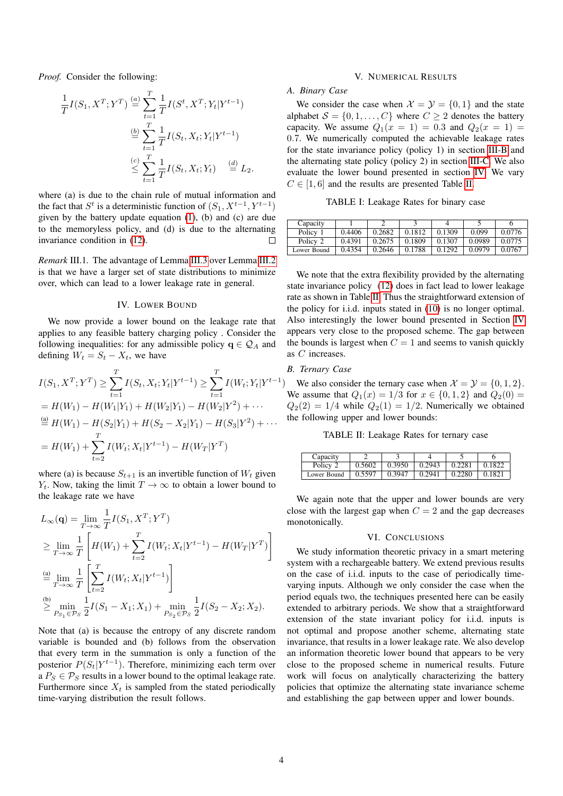*Proof.* Consider the following:

$$
\frac{1}{T}I(S_1, X^T; Y^T) \stackrel{(a)}{=} \sum_{t=1}^T \frac{1}{T}I(S^t, X^T; Y_t | Y^{t-1})
$$
\n
$$
\stackrel{(b)}{=} \sum_{t=1}^T \frac{1}{T}I(S_t, X_t; Y_t | Y^{t-1})
$$
\n
$$
\stackrel{(c)}{\leq} \sum_{t=1}^T \frac{1}{T}I(S_t, X_t; Y_t) \stackrel{(d)}{=} L_2.
$$

where (a) is due to the chain rule of mutual information and the fact that  $S^t$  is a deterministic function of  $(S_1, X^{t-1}, Y^{t-1})$ given by the battery update equation [\(1\)](#page-0-0), (b) and (c) are due to the memoryless policy, and (d) is due to the alternating invariance condition in [\(12\)](#page-2-5).  $\Box$ 

*Remark* III.1*.* The advantage of Lemma [III.3](#page-2-6) over Lemma [III.2](#page-2-4) is that we have a larger set of state distributions to minimize over, which can lead to a lower leakage rate in general.

#### IV. LOWER BOUND

<span id="page-3-0"></span>We now provide a lower bound on the leakage rate that applies to any feasible battery charging policy . Consider the following inequalities: for any admissible policy  $q \in \mathcal{Q}_A$  and defining  $W_t = S_t - X_t$ , we have

$$
I(S_1, X^T; Y^T) \ge \sum_{t=1}^T I(S_t, X_t; Y_t | Y^{t-1}) \ge \sum_{t=1}^T I(W_t; Y_t | Y^{t-1})
$$
  
=  $H(W_1) - H(W_1|Y_1) + H(W_2|Y_1) - H(W_2|Y^2) + \cdots$   

$$
\stackrel{\text{(a)}}{=} H(W_1) - H(S_2|Y_1) + H(S_2 - X_2|Y_1) - H(S_3|Y^2) + \cdots
$$
  
=  $H(W_1) + \sum_{t=2}^T I(W_t; X_t | Y^{t-1}) - H(W_T | Y^T)$ 

where (a) is because  $S_{t+1}$  is an invertible function of  $W_t$  given  $Y_t$ . Now, taking the limit  $T \to \infty$  to obtain a lower bound to the leakage rate we have

$$
L_{\infty}(\mathbf{q}) = \lim_{T \to \infty} \frac{1}{T} I(S_1, X^T; Y^T)
$$
  
\n
$$
\geq \lim_{T \to \infty} \frac{1}{T} \left[ H(W_1) + \sum_{t=2}^T I(W_t; X_t | Y^{t-1}) - H(W_T | Y^T) \right]
$$
  
\n
$$
\stackrel{\text{(a)}}{=} \lim_{T \to \infty} \frac{1}{T} \left[ \sum_{t=2}^T I(W_t; X_t | Y^{t-1}) \right]
$$
  
\n
$$
\stackrel{\text{(b)}}{\geq} \min_{P_{S_1} \in \mathcal{P}_S} \frac{1}{2} I(S_1 - X_1; X_1) + \min_{P_{S_2} \in \mathcal{P}_S} \frac{1}{2} I(S_2 - X_2; X_2).
$$

Note that (a) is because the entropy of any discrete random variable is bounded and (b) follows from the observation that every term in the summation is only a function of the posterior  $P(S_t|Y^{t-1})$ . Therefore, minimizing each term over  $a P_S \in \mathcal{P}_S$  results in a lower bound to the optimal leakage rate. Furthermore since  $X_t$  is sampled from the stated periodically time-varying distribution the result follows.

#### V. NUMERICAL RESULTS

## *A. Binary Case*

We consider the case when  $\mathcal{X} = \mathcal{Y} = \{0, 1\}$  and the state alphabet  $S = \{0, 1, \ldots, C\}$  where  $C \geq 2$  denotes the battery capacity. We assume  $Q_1(x = 1) = 0.3$  and  $Q_2(x = 1) =$ 0.7. We numerically computed the achievable leakage rates for the state invariance policy (policy 1) in section [III-B](#page-2-7) and the alternating state policy (policy 2) in section [III-C.](#page-2-8) We also evaluate the lower bound presented in section [IV.](#page-3-0) We vary  $C \in [1, 6]$  and the results are presented Table [II.](#page-3-1)

TABLE I: Leakage Rates for binary case

| Capacity    |        |        |        |        |        |        |
|-------------|--------|--------|--------|--------|--------|--------|
| Policy 1    | 0.4406 | 0.2682 | 0.1812 | 0.1309 | 0.099  | 0.0776 |
| Policy 2    | 0.4391 | 0.2675 | 0.1809 | 0.1307 | 0.0989 | 0.0775 |
| Lower Bound | 0.4354 | 0.2646 | 0.1788 | 0.1292 | 0.0979 | 0.0767 |

We note that the extra flexibility provided by the alternating state invariance policy [\(12\)](#page-2-5) does in fact lead to lower leakage rate as shown in Table [II.](#page-3-1) Thus the straightforward extension of the policy for i.i.d. inputs stated in [\(10\)](#page-2-1) is no longer optimal. Also interestingly the lower bound presented in Section [IV](#page-3-0) appears very close to the proposed scheme. The gap between the bounds is largest when  $C = 1$  and seems to vanish quickly as C increases.

# *B. Ternary Case*

We also consider the ternary case when  $\mathcal{X} = \mathcal{Y} = \{0, 1, 2\}.$ We assume that  $Q_1(x) = 1/3$  for  $x \in \{0, 1, 2\}$  and  $Q_2(0) =$  $Q_2(2) = 1/4$  while  $Q_2(1) = 1/2$ . Numerically we obtained the following upper and lower bounds:

TABLE II: Leakage Rates for ternary case

<span id="page-3-1"></span>

| Capacity    |        |                      |                     |                |              |
|-------------|--------|----------------------|---------------------|----------------|--------------|
| Policy 2    | 0.5602 | 0.3950               | $0.2943 \pm 0.2281$ |                | $\pm 0.1822$ |
| Lower Bound | 0.5597 | $\vert 0.3947 \vert$ | 0.2941              | $\perp$ 0.2280 | 10.1821      |

We again note that the upper and lower bounds are very close with the largest gap when  $C = 2$  and the gap decreases monotonically.

#### VI. CONCLUSIONS

We study information theoretic privacy in a smart metering system with a rechargeable battery. We extend previous results on the case of i.i.d. inputs to the case of periodically timevarying inputs. Although we only consider the case when the period equals two, the techniques presented here can be easily extended to arbitrary periods. We show that a straightforward extension of the state invariant policy for i.i.d. inputs is not optimal and propose another scheme, alternating state invariance, that results in a lower leakage rate. We also develop an information theoretic lower bound that appears to be very close to the proposed scheme in numerical results. Future work will focus on analytically characterizing the battery policies that optimize the alternating state invariance scheme and establishing the gap between upper and lower bounds.